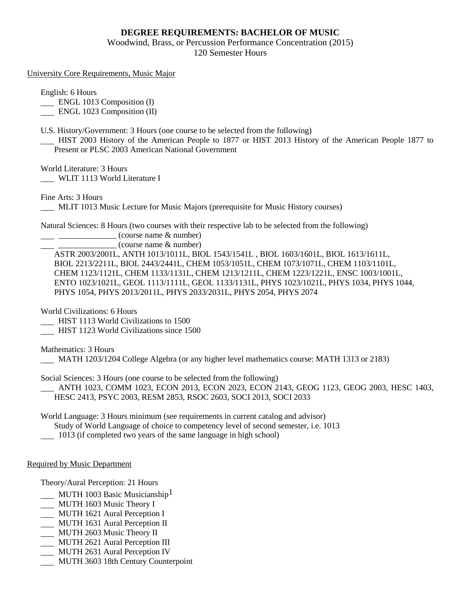# **DEGREE REQUIREMENTS: BACHELOR OF MUSIC**

Woodwind, Brass, or Percussion Performance Concentration (2015) 120 Semester Hours

### University Core Requirements, Music Major

English: 6 Hours

**ENGL 1013 Composition (I)** 

ENGL 1023 Composition (II)

U.S. History/Government: 3 Hours (one course to be selected from the following)

 HIST 2003 History of the American People to 1877 or HIST 2013 History of the American People 1877 to Present or PLSC 2003 American National Government

World Literature: 3 Hours

WLIT 1113 World Literature I

Fine Arts: 3 Hours

MLIT 1013 Music Lecture for Music Majors (prerequisite for Music History courses)

Natural Sciences: 8 Hours (two courses with their respective lab to be selected from the following)

 $\frac{1}{2}$   $\frac{1}{2}$   $\frac{1}{2}$   $\frac{1}{2}$   $\frac{1}{2}$   $\frac{1}{2}$   $\frac{1}{2}$   $\frac{1}{2}$   $\frac{1}{2}$   $\frac{1}{2}$   $\frac{1}{2}$   $\frac{1}{2}$   $\frac{1}{2}$   $\frac{1}{2}$   $\frac{1}{2}$   $\frac{1}{2}$   $\frac{1}{2}$   $\frac{1}{2}$   $\frac{1}{2}$   $\frac{1}{2}$   $\frac{1}{2}$   $\frac{1}{2}$ 

 $\equiv$  (course name  $\&$  number)

ASTR 2003/2001L, ANTH 1013/1011L, BIOL 1543/1541L , BIOL 1603/1601L, BIOL 1613/1611L, BIOL 2213/2211L, BIOL 2443/2441L, CHEM 1053/1051L, CHEM 1073/1071L, CHEM 1103/1101L, CHEM 1123/1121L, CHEM 1133/1131L, CHEM 1213/1211L, CHEM 1223/1221L, ENSC 1003/1001L, ENTO 1023/1021L, GEOL 1113/1111L, GEOL 1133/1131L, PHYS 1023/1021L, PHYS 1034, PHYS 1044, PHYS 1054, PHYS 2013/2011L, PHYS 2033/2031L, PHYS 2054, PHYS 2074

World Civilizations: 6 Hours

HIST 1113 World Civilizations to 1500

HIST 1123 World Civilizations since 1500

Mathematics: 3 Hours

MATH 1203/1204 College Algebra (or any higher level mathematics course: MATH 1313 or 2183)

Social Sciences: 3 Hours (one course to be selected from the following)

 ANTH 1023, COMM 1023, ECON 2013, ECON 2023, ECON 2143, GEOG 1123, GEOG 2003, HESC 1403, HESC 2413, PSYC 2003, RESM 2853, RSOC 2603, SOCI 2013, SOCI 2033

World Language: 3 Hours minimum (see requirements in current catalog and advisor) Study of World Language of choice to competency level of second semester, i.e. 1013 1013 (if completed two years of the same language in high school)

## Required by Music Department

Theory/Aural Perception: 21 Hours

- MUTH 1003 Basic Musicianship<sup>1</sup>
- MUTH 1603 Music Theory I
- MUTH 1621 Aural Perception I
- MUTH 1631 Aural Perception II
- MUTH 2603 Music Theory II
- MUTH 2621 Aural Perception III
- MUTH 2631 Aural Perception IV
- MUTH 3603 18th Century Counterpoint